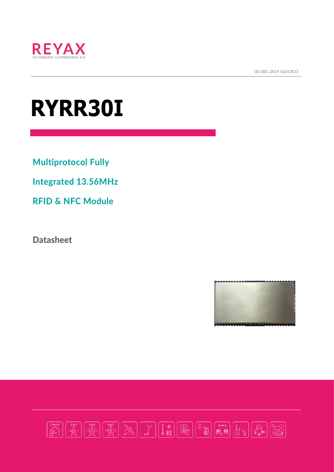

05-DEC-2019 56312E33  $\frac{1}{2}$ 

# **RYRR30I**

Multiprotocol Fully

Integrated 13.56MHz

RFID & NFC Module

**Datasheet** 



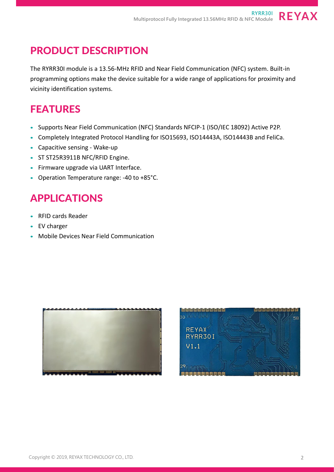## PRODUCT DESCRIPTION

The RYRR30I module is a 13.56-MHz RFID and Near Field Communication (NFC) system. Built-in programming options make the device suitable for a wide range of applications for proximity and vicinity identification systems.

## FEATURES

- Supports Near Field Communication (NFC) Standards NFCIP-1 (ISO/IEC 18092) Active P2P.
- Completely Integrated Protocol Handling for ISO15693, ISO14443A, ISO14443B and FeliCa.
- Capacitive sensing Wake-up
- ST ST25R3911B NFC/RFID Engine.
- Firmware upgrade via UART Interface.
- Operation Temperature range: -40 to +85°C.

## APPLICATIONS

- RFID cards Reader
- EV charger
- Mobile Devices Near Field Communication





**REYAX**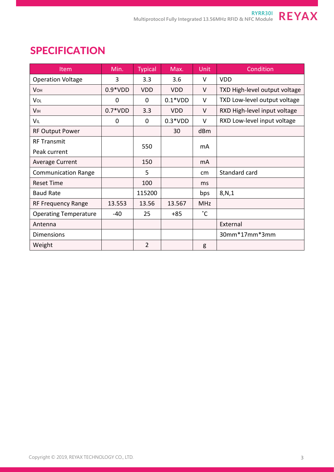| <b>Item</b>                  | Min.      | <b>Typical</b> | Max.       | <b>Unit</b>  | Condition                     |
|------------------------------|-----------|----------------|------------|--------------|-------------------------------|
| <b>Operation Voltage</b>     | 3         | 3.3            | 3.6        | V            | <b>VDD</b>                    |
| <b>V</b> OH                  | $0.9*VDD$ | <b>VDD</b>     | <b>VDD</b> | V            | TXD High-level output voltage |
| VOL                          | 0         | $\mathbf{0}$   | $0.1*VDD$  | V            | TXD Low-level output voltage  |
| <b>V<sub>IH</sub></b>        | $0.7*VDD$ | 3.3            | <b>VDD</b> | V            | RXD High-level input voltage  |
| VIL                          | 0         | 0              | $0.3*VDD$  | V            | RXD Low-level input voltage   |
| <b>RF Output Power</b>       |           |                | 30         | dBm          |                               |
| <b>RF Transmit</b>           |           | 550            |            | mA           |                               |
| Peak current                 |           |                |            |              |                               |
| <b>Average Current</b>       |           | 150            |            | mA           |                               |
| <b>Communication Range</b>   |           | 5              |            | cm           | Standard card                 |
| <b>Reset Time</b>            |           | 100            |            | ms           |                               |
| <b>Baud Rate</b>             |           | 115200         |            | bps          | 8, N, 1                       |
| RF Frequency Range           | 13.553    | 13.56          | 13.567     | <b>MHz</b>   |                               |
| <b>Operating Temperature</b> | $-40$     | 25             | $+85$      | $^{\circ}$ C |                               |
| Antenna                      |           |                |            |              | External                      |
| <b>Dimensions</b>            |           |                |            |              | 30mm*17mm*3mm                 |
| Weight                       |           | $\overline{2}$ |            | g            |                               |

## **SPECIFICATION**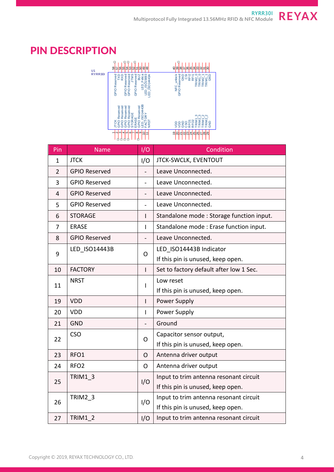# PIN DESCRIPTION



| Pin            | <b>Name</b>          | I/O            | Condition                                |  |
|----------------|----------------------|----------------|------------------------------------------|--|
| $\mathbf{1}$   | <b>JTCK</b>          | I/O            | JTCK-SWCLK, EVENTOUT                     |  |
| $\overline{2}$ | <b>GPIO Reserved</b> |                | Leave Unconnected.                       |  |
| 3              | <b>GPIO Reserved</b> |                | Leave Unconnected.                       |  |
| $\overline{4}$ | <b>GPIO Reserved</b> |                | Leave Unconnected.                       |  |
| 5              | <b>GPIO Reserved</b> |                | Leave Unconnected.                       |  |
| 6              | <b>STORAGE</b>       | $\mathbf{I}$   | Standalone mode: Storage function input. |  |
| 7              | <b>ERASE</b>         | Т              | Standalone mode: Erase function input.   |  |
| 8              | <b>GPIO Reserved</b> |                | Leave Unconnected.                       |  |
| 9              | LED ISO14443B        | O              | LED ISO14443B Indicator                  |  |
|                |                      |                | If this pin is unused, keep open.        |  |
| 10             | <b>FACTORY</b>       | $\mathsf{I}$   | Set to factory default after low 1 Sec.  |  |
| 11             | <b>NRST</b>          | $\mathbf{I}$   | Low reset                                |  |
|                |                      |                | If this pin is unused, keep open.        |  |
| 19             | <b>VDD</b>           | $\overline{1}$ | Power Supply                             |  |
| 20             | <b>VDD</b>           | Т              | Power Supply                             |  |
| 21             | <b>GND</b>           |                | Ground                                   |  |
| 22             | <b>CSO</b>           | $\Omega$       | Capacitor sensor output,                 |  |
|                |                      |                | If this pin is unused, keep open.        |  |
| 23             | RFO1                 | $\mathsf{O}$   | Antenna driver output                    |  |
| 24             | RFO <sub>2</sub>     | $\mathsf{O}$   | Antenna driver output                    |  |
| 25             | <b>TRIM1 3</b>       | I/O            | Input to trim antenna resonant circuit   |  |
|                |                      |                | If this pin is unused, keep open.        |  |
| 26             | TRIM2 3              | I/O            | Input to trim antenna resonant circuit   |  |
|                |                      |                | If this pin is unused, keep open.        |  |
| 27             | <b>TRIM1 2</b>       | I/O            | Input to trim antenna resonant circuit   |  |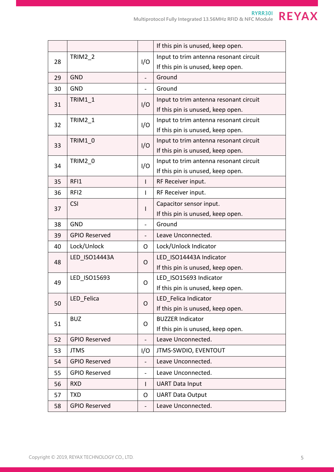|    |                      |                          | If this pin is unused, keep open.      |  |
|----|----------------------|--------------------------|----------------------------------------|--|
| 28 | <b>TRIM2 2</b>       | I/O                      | Input to trim antenna resonant circuit |  |
|    |                      |                          | If this pin is unused, keep open.      |  |
| 29 | <b>GND</b>           | $\overline{a}$           | Ground                                 |  |
| 30 | <b>GND</b>           |                          | Ground                                 |  |
| 31 | <b>TRIM1 1</b>       | I/O                      | Input to trim antenna resonant circuit |  |
|    |                      |                          | If this pin is unused, keep open.      |  |
| 32 | <b>TRIM2 1</b>       | I/O                      | Input to trim antenna resonant circuit |  |
|    |                      |                          | If this pin is unused, keep open.      |  |
| 33 | TRIM1 0              | I/O                      | Input to trim antenna resonant circuit |  |
|    |                      |                          | If this pin is unused, keep open.      |  |
| 34 | TRIM2 0              | I/O                      | Input to trim antenna resonant circuit |  |
|    |                      |                          | If this pin is unused, keep open.      |  |
| 35 | RFI1                 | $\mathbf{I}$             | RF Receiver input.                     |  |
| 36 | RFI <sub>2</sub>     | L                        | RF Receiver input.                     |  |
| 37 | <b>CSI</b>           | $\mathsf{l}$             | Capacitor sensor input.                |  |
|    |                      |                          | If this pin is unused, keep open.      |  |
| 38 | <b>GND</b>           |                          | Ground                                 |  |
| 39 | <b>GPIO Reserved</b> |                          | Leave Unconnected.                     |  |
| 40 | Lock/Unlock          | O                        | Lock/Unlock Indicator                  |  |
| 48 | LED ISO14443A        | O                        | LED ISO14443A Indicator                |  |
|    |                      |                          | If this pin is unused, keep open.      |  |
| 49 | LED ISO15693         | O                        | LED ISO15693 Indicator                 |  |
|    |                      |                          | If this pin is unused, keep open.      |  |
| 50 | LED Felica           | O                        | LED Felica Indicator                   |  |
|    |                      |                          | If this pin is unused, keep open.      |  |
| 51 | <b>BUZ</b>           | O                        | <b>BUZZER Indicator</b>                |  |
|    |                      |                          | If this pin is unused, keep open.      |  |
| 52 | <b>GPIO Reserved</b> |                          | Leave Unconnected.                     |  |
| 53 | <b>JTMS</b>          | I/O                      | <b>JTMS-SWDIO, EVENTOUT</b>            |  |
| 54 | <b>GPIO Reserved</b> |                          | Leave Unconnected.                     |  |
| 55 | <b>GPIO Reserved</b> | $\overline{\phantom{0}}$ | Leave Unconnected.                     |  |
| 56 | <b>RXD</b>           | $\mathbf{I}$             | <b>UART Data Input</b>                 |  |
| 57 | <b>TXD</b>           | O                        | <b>UART Data Output</b>                |  |
| 58 | <b>GPIO Reserved</b> |                          | Leave Unconnected.                     |  |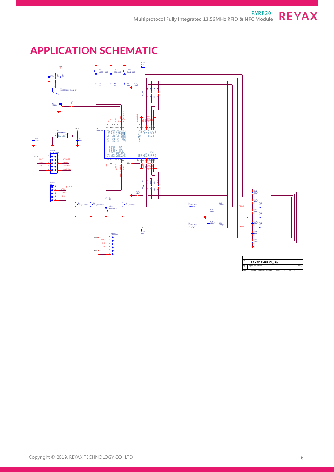## **REYAX**

## APPLICATION SCHEMATIC

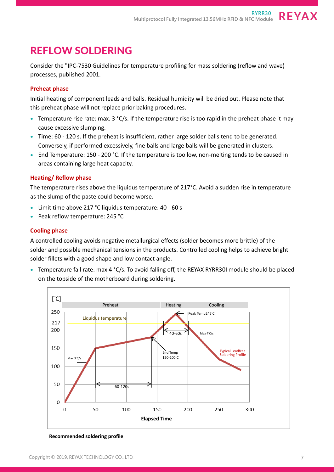#### REFLOW SOLDERING

Consider the "IPC-7530 Guidelines for temperature profiling for mass soldering (reflow and wave) processes, published 2001.

#### **Preheat phase**

Initial heating of component leads and balls. Residual humidity will be dried out. Please note that this preheat phase will not replace prior baking procedures.

- Temperature rise rate: max.  $3 °C/s$ . If the temperature rise is too rapid in the preheat phase it may cause excessive slumping.
- Time: 60 120 s. If the preheat is insufficient, rather large solder balls tend to be generated. Conversely, if performed excessively, fine balls and large balls will be generated in clusters.
- End Temperature: 150 200 °C. If the temperature is too low, non-melting tends to be caused in areas containing large heat capacity.

#### **Heating/ Reflow phase**

The temperature rises above the liquidus temperature of 217°C. Avoid a sudden rise in temperature as the slump of the paste could become worse.

- Limit time above 217 °C liquidus temperature: 40 60 s
- Peak reflow temperature: 245 °C

#### **Cooling phase**

A controlled cooling avoids negative metallurgical effects (solder becomes more brittle) of the solder and possible mechanical tensions in the products. Controlled cooling helps to achieve bright solder fillets with a good shape and low contact angle.

• Temperature fall rate: max 4 °C/s. To avoid falling off, the REYAX RYRR30I module should be placed on the topside of the motherboard during soldering.



**Recommended soldering profile**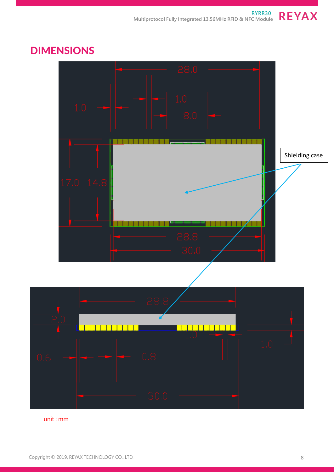

#### DIMENSIONS

unit : mm